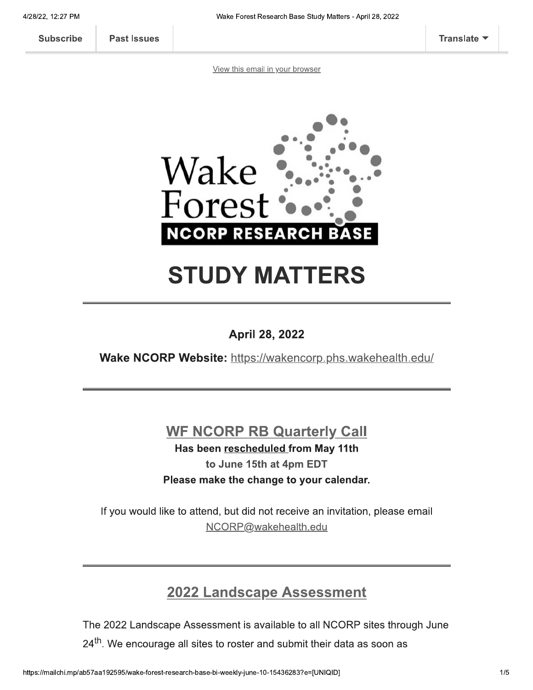**Past Issues** 

View this email in your browser



# **STUDY MATTERS**

### **April 28, 2022**

Wake NCORP Website: https://wakencorp.phs.wakehealth.edu/

### **WF NCORP RB Quarterly Call**

Has been rescheduled from May 11th to June 15th at 4pm EDT Please make the change to your calendar.

If you would like to attend, but did not receive an invitation, please email NCORP@wakehealth.edu

### **2022 Landscape Assessment**

The 2022 Landscape Assessment is available to all NCORP sites through June 24<sup>th</sup>. We encourage all sites to roster and submit their data as soon as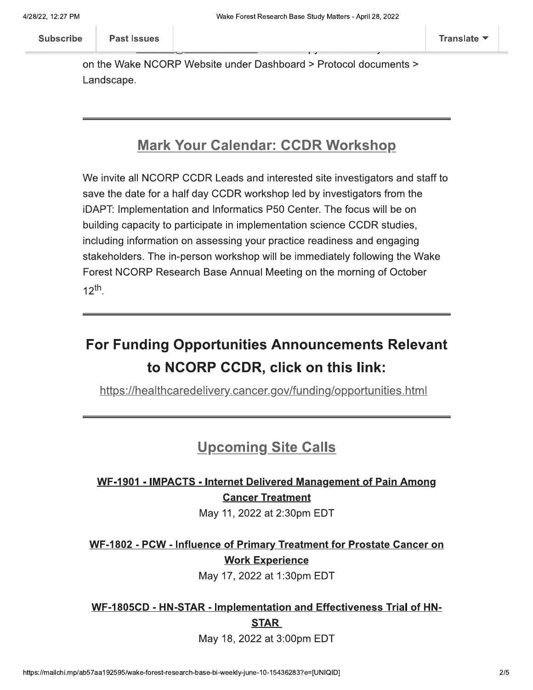on the Wake NCORP Website under Dashboard > Protocol documents > Landscape.

### **Mark Your Calendar: CCDR Workshop**

We invite all NCORP CCDR Leads and interested site investigators and staff to save the date for a half day CCDR workshop led by investigators from the iDAPT: Implementation and Informatics P50 Center. The focus will be on building capacity to participate in implementation science CCDR studies, including information on assessing your practice readiness and engaging stakeholders. The in-person workshop will be immediately following the Wake Forest NCORP Research Base Annual Meeting on the morning of October  $12^{th}$ .

# **For Funding Opportunities Announcements Relevant** to NCORP CCDR, click on this link:

https://healthcaredelivery.cancer.gov/funding/opportunities.html

### **Upcoming Site Calls**

### WF-1901 - IMPACTS - Internet Delivered Management of Pain Among **Cancer Treatment**

May 11, 2022 at 2:30pm EDT

WF-1802 - PCW - Influence of Primary Treatment for Prostate Cancer on **Work Experience** 

May 17, 2022 at 1:30pm EDT

### WF-1805CD - HN-STAR - Implementation and Effectiveness Trial of HN-**STAR**

May 18, 2022 at 3:00pm EDT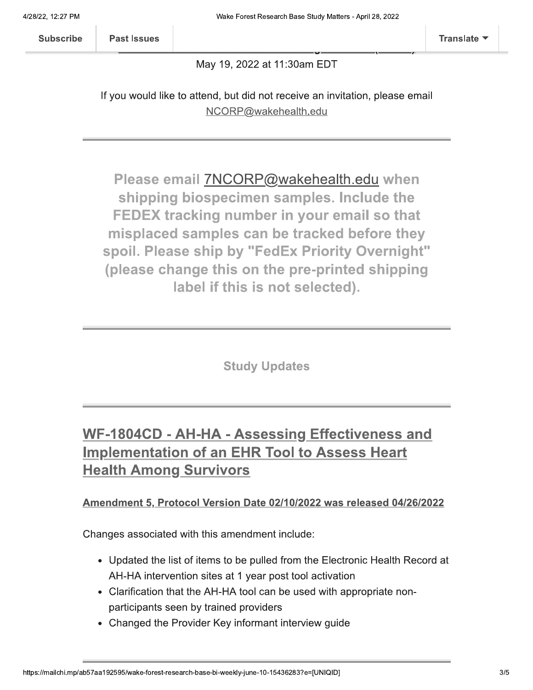**Past Issues** 

#### May 19, 2022 at 11:30am EDT

If you would like to attend, but did not receive an invitation, please email NCORP@wakehealth.edu

Please email 7NCORP@wakehealth.edu when shipping biospecimen samples. Include the FEDEX tracking number in your email so that misplaced samples can be tracked before they spoil. Please ship by "FedEx Priority Overnight" (please change this on the pre-printed shipping label if this is not selected).

**Study Updates** 

# WF-1804CD - AH-HA - Assessing Effectiveness and **Implementation of an EHR Tool to Assess Heart Health Among Survivors**

#### Amendment 5, Protocol Version Date 02/10/2022 was released 04/26/2022

Changes associated with this amendment include:

- Updated the list of items to be pulled from the Electronic Health Record at AH-HA intervention sites at 1 year post tool activation
- Clarification that the AH-HA tool can be used with appropriate nonparticipants seen by trained providers
- Changed the Provider Key informant interview guide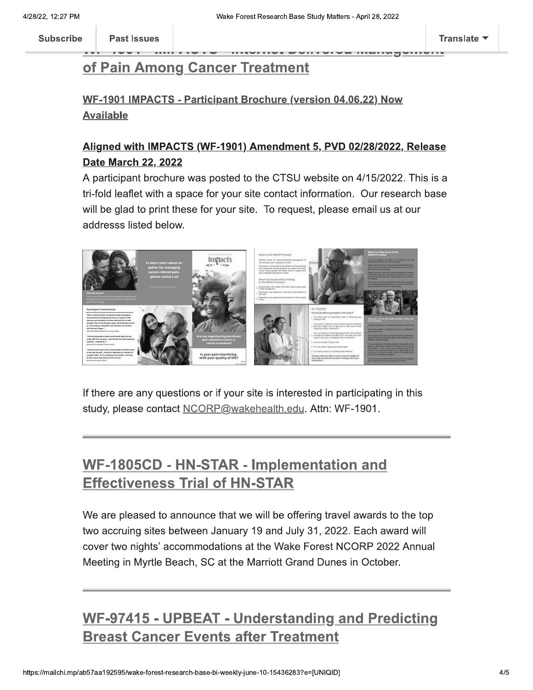**Past Issues** 

### of Pain Among Cancer Treatment

### WF-1901 IMPACTS - Participant Brochure (version 04.06.22) Now **Available**

### Aligned with IMPACTS (WF-1901) Amendment 5, PVD 02/28/2022, Release **Date March 22, 2022**

A participant brochure was posted to the CTSU website on 4/15/2022. This is a tri-fold leaflet with a space for your site contact information. Our research base will be glad to print these for your site. To request, please email us at our addresss listed below.



If there are any questions or if your site is interested in participating in this study, please contact NCORP@wakehealth.edu. Attn: WF-1901.

# WF-1805CD - HN-STAR - Implementation and **Effectiveness Trial of HN-STAR**

We are pleased to announce that we will be offering travel awards to the top two accruing sites between January 19 and July 31, 2022. Each award will cover two nights' accommodations at the Wake Forest NCORP 2022 Annual Meeting in Myrtle Beach, SC at the Marriott Grand Dunes in October.

# **WF-97415 - UPBEAT - Understanding and Predicting Breast Cancer Events after Treatment**